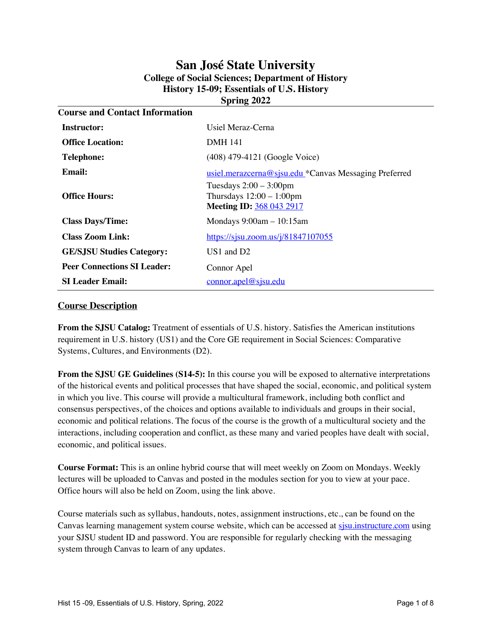# **San José State University College of Social Sciences; Department of History History 15-09; Essentials of U.S. History Spring 2022**

| <b>Course and Contact Information</b>                                                       |  |  |  |  |
|---------------------------------------------------------------------------------------------|--|--|--|--|
| Usiel Meraz-Cerna                                                                           |  |  |  |  |
| <b>DMH 141</b>                                                                              |  |  |  |  |
| (408) 479-4121 (Google Voice)                                                               |  |  |  |  |
| usiel.merazcerna@sjsu.edu *Canvas Messaging Preferred                                       |  |  |  |  |
| Tuesdays $2:00 - 3:00$ pm<br>Thursdays $12:00 - 1:00$ pm<br><b>Meeting ID: 368 043 2917</b> |  |  |  |  |
| Mondays $9:00am - 10:15am$                                                                  |  |  |  |  |
| https://sjsu.zoom.us/j/81847107055                                                          |  |  |  |  |
| $US1$ and $D2$                                                                              |  |  |  |  |
| Connor Apel                                                                                 |  |  |  |  |
| connor. a pel@sisu.edu                                                                      |  |  |  |  |
|                                                                                             |  |  |  |  |

## **Course Description**

**From the SJSU Catalog:** Treatment of essentials of U.S. history. Satisfies the American institutions requirement in U.S. history (US1) and the Core GE requirement in Social Sciences: Comparative Systems, Cultures, and Environments (D2).

**From the SJSU GE Guidelines (S14-5):** In this course you will be exposed to alternative interpretations of the historical events and political processes that have shaped the social, economic, and political system in which you live. This course will provide a multicultural framework, including both conflict and consensus perspectives, of the choices and options available to individuals and groups in their social, economic and political relations. The focus of the course is the growth of a multicultural society and the interactions, including cooperation and conflict, as these many and varied peoples have dealt with social, economic, and political issues.

**Course Format:** This is an online hybrid course that will meet weekly on Zoom on Mondays. Weekly lectures will be uploaded to Canvas and posted in the modules section for you to view at your pace. Office hours will also be held on Zoom, using the link above.

Course materials such as syllabus, handouts, notes, assignment instructions, etc., can be found on the Canvas learning management system course website, which can be accessed at sisu.instructure.com using your SJSU student ID and password. You are responsible for regularly checking with the messaging system through Canvas to learn of any updates.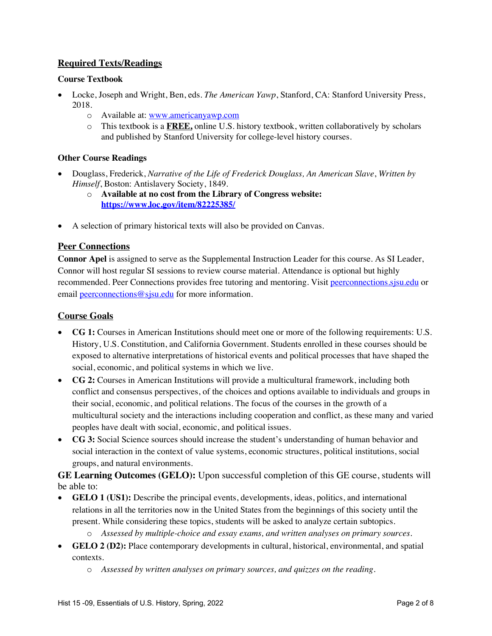# **Required Texts/Readings**

## **Course Textbook**

- Locke, Joseph and Wright, Ben, eds. *The American Yawp*, Stanford, CA: Stanford University Press, 2018.
	- o Available at: www.americanyawp.com
	- o This textbook is a **FREE,** online U.S. history textbook, written collaboratively by scholars and published by Stanford University for college-level history courses.

## **Other Course Readings**

- Douglass, Frederick, *Narrative of the Life of Frederick Douglass, An American Slave*, *Written by Himself*, Boston: Antislavery Society, 1849.
	- o **Available at no cost from the Library of Congress website: https://www.loc.gov/item/82225385/**
- A selection of primary historical texts will also be provided on Canvas.

## **Peer Connections**

**Connor Apel** is assigned to serve as the Supplemental Instruction Leader for this course. As SI Leader, Connor will host regular SI sessions to review course material. Attendance is optional but highly recommended. Peer Connections provides free tutoring and mentoring. Visit peerconnections.sjsu.edu or email peerconnections@sjsu.edu for more information.

## **Course Goals**

- **CG 1:** Courses in American Institutions should meet one or more of the following requirements: U.S. History, U.S. Constitution, and California Government. Students enrolled in these courses should be exposed to alternative interpretations of historical events and political processes that have shaped the social, economic, and political systems in which we live.
- **CG 2:** Courses in American Institutions will provide a multicultural framework, including both conflict and consensus perspectives, of the choices and options available to individuals and groups in their social, economic, and political relations. The focus of the courses in the growth of a multicultural society and the interactions including cooperation and conflict, as these many and varied peoples have dealt with social, economic, and political issues.
- **CG 3:** Social Science sources should increase the student's understanding of human behavior and social interaction in the context of value systems, economic structures, political institutions, social groups, and natural environments.

**GE Learning Outcomes (GELO):** Upon successful completion of this GE course, students will be able to:

- **GELO 1 (US1):** Describe the principal events, developments, ideas, politics, and international relations in all the territories now in the United States from the beginnings of this society until the present. While considering these topics, students will be asked to analyze certain subtopics.
	- o *Assessed by multiple-choice and essay exams, and written analyses on primary sources.*
- **GELO 2 (D2):** Place contemporary developments in cultural, historical, environmental, and spatial contexts.
	- o *Assessed by written analyses on primary sources, and quizzes on the reading.*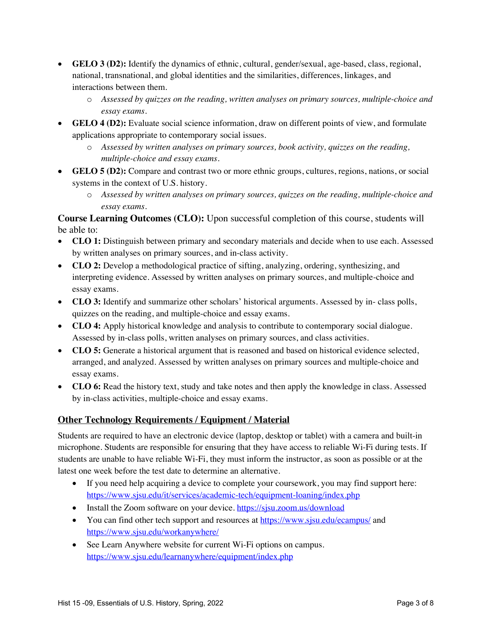- **GELO 3 (D2):** Identify the dynamics of ethnic, cultural, gender/sexual, age-based, class, regional, national, transnational, and global identities and the similarities, differences, linkages, and interactions between them.
	- o *Assessed by quizzes on the reading, written analyses on primary sources, multiple-choice and essay exams.*
- **GELO 4 (D2):** Evaluate social science information, draw on different points of view, and formulate applications appropriate to contemporary social issues.
	- o *Assessed by written analyses on primary sources, book activity, quizzes on the reading, multiple-choice and essay exams.*
- **GELO 5 (D2):** Compare and contrast two or more ethnic groups, cultures, regions, nations, or social systems in the context of U.S. history.
	- o *Assessed by written analyses on primary sources, quizzes on the reading, multiple-choice and essay exams.*

**Course Learning Outcomes (CLO):** Upon successful completion of this course, students will be able to:

- **CLO 1:** Distinguish between primary and secondary materials and decide when to use each. Assessed by written analyses on primary sources, and in-class activity.
- **CLO 2:** Develop a methodological practice of sifting, analyzing, ordering, synthesizing, and interpreting evidence. Assessed by written analyses on primary sources, and multiple-choice and essay exams.
- **CLO 3:** Identify and summarize other scholars' historical arguments. Assessed by in-class polls, quizzes on the reading, and multiple-choice and essay exams.
- **CLO 4:** Apply historical knowledge and analysis to contribute to contemporary social dialogue. Assessed by in-class polls, written analyses on primary sources, and class activities.
- **CLO 5:** Generate a historical argument that is reasoned and based on historical evidence selected, arranged, and analyzed. Assessed by written analyses on primary sources and multiple-choice and essay exams.
- **CLO 6:** Read the history text, study and take notes and then apply the knowledge in class. Assessed by in-class activities, multiple-choice and essay exams.

# **Other Technology Requirements / Equipment / Material**

Students are required to have an electronic device (laptop, desktop or tablet) with a camera and built-in microphone. Students are responsible for ensuring that they have access to reliable Wi-Fi during tests. If students are unable to have reliable Wi-Fi, they must inform the instructor, as soon as possible or at the latest one week before the test date to determine an alternative.

- If you need help acquiring a device to complete your coursework, you may find support here: https://www.sjsu.edu/it/services/academic-tech/equipment-loaning/index.php
- Install the Zoom software on your device. https://sjsu.zoom.us/download
- You can find other tech support and resources at https://www.sjsu.edu/ecampus/ and https://www.sjsu.edu/workanywhere/
- See Learn Anywhere website for current Wi-Fi options on campus. https://www.sjsu.edu/learnanywhere/equipment/index.php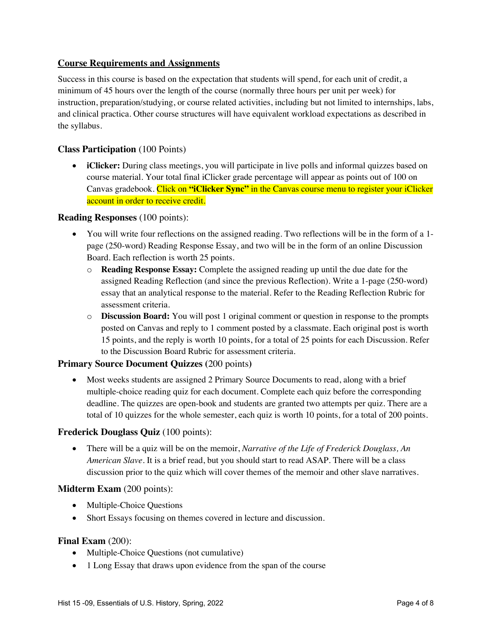## **Course Requirements and Assignments**

Success in this course is based on the expectation that students will spend, for each unit of credit, a minimum of 45 hours over the length of the course (normally three hours per unit per week) for instruction, preparation/studying, or course related activities, including but not limited to internships, labs, and clinical practica. Other course structures will have equivalent workload expectations as described in the syllabus.

## **Class Participation** (100 Points)

• **iClicker:** During class meetings, you will participate in live polls and informal quizzes based on course material. Your total final iClicker grade percentage will appear as points out of 100 on Canvas gradebook. Click on **"iClicker Sync"** in the Canvas course menu to register your iClicker account in order to receive credit.

#### **Reading Responses** (100 points):

- You will write four reflections on the assigned reading. Two reflections will be in the form of a 1 page (250-word) Reading Response Essay, and two will be in the form of an online Discussion Board. Each reflection is worth 25 points.
	- o **Reading Response Essay:** Complete the assigned reading up until the due date for the assigned Reading Reflection (and since the previous Reflection). Write a 1-page (250-word) essay that an analytical response to the material. Refer to the Reading Reflection Rubric for assessment criteria.
	- o **Discussion Board:** You will post 1 original comment or question in response to the prompts posted on Canvas and reply to 1 comment posted by a classmate. Each original post is worth 15 points, and the reply is worth 10 points, for a total of 25 points for each Discussion. Refer to the Discussion Board Rubric for assessment criteria.

## **Primary Source Document Quizzes (**200 points**)**

• Most weeks students are assigned 2 Primary Source Documents to read, along with a brief multiple-choice reading quiz for each document. Complete each quiz before the corresponding deadline. The quizzes are open-book and students are granted two attempts per quiz. There are a total of 10 quizzes for the whole semester, each quiz is worth 10 points, for a total of 200 points.

#### **Frederick Douglass Quiz** (100 points):

• There will be a quiz will be on the memoir, *Narrative of the Life of Frederick Douglass, An American Slave*. It is a brief read, but you should start to read ASAP. There will be a class discussion prior to the quiz which will cover themes of the memoir and other slave narratives.

#### **Midterm Exam** (200 points):

- Multiple-Choice Questions
- Short Essays focusing on themes covered in lecture and discussion.

#### **Final Exam (200):**

- Multiple-Choice Questions (not cumulative)
- 1 Long Essay that draws upon evidence from the span of the course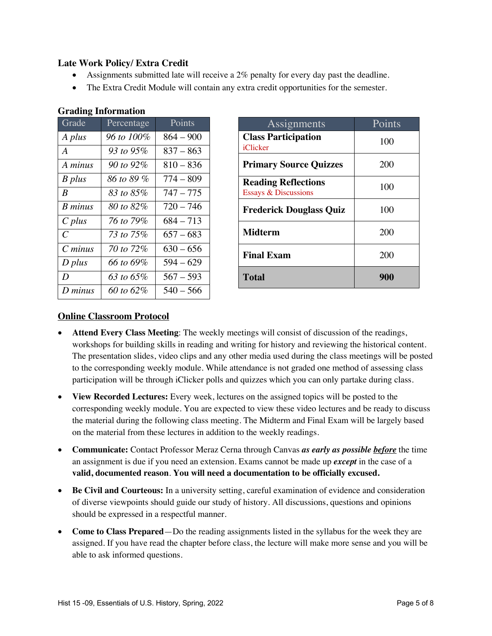# **Late Work Policy/ Extra Credit**

- Assignments submitted late will receive a 2% penalty for every day past the deadline.
- The Extra Credit Module will contain any extra credit opportunities for the semester.

| Grade          | Percentage | Points      |
|----------------|------------|-------------|
| A plus         | 96 to 100% | $864 - 900$ |
| A              | 93 to 95%  | $837 - 863$ |
| A minus        | 90 to 92%  | $810 - 836$ |
| B plus         | 86 to 89 % | $774 - 809$ |
| B              | 83 to 85%  | $747 - 775$ |
| <b>B</b> minus | 80 to 82%  | $720 - 746$ |
| $C$ plus       | 76 to 79%  | $684 - 713$ |
| C              | 73 to 75%  | $657 - 683$ |
| $C \, minus$   | 70 to 72%  | $630 - 656$ |
| $D$ plus       | 66 to 69%  | $594 - 629$ |
| D              | 63 to 65%  | $567 - 593$ |
| D minus        | 60 to 62%  | $540 - 566$ |

# **Grading Information**

| Assignments                                                   | Points |
|---------------------------------------------------------------|--------|
| <b>Class Participation</b><br>iClicker                        | 100    |
| <b>Primary Source Quizzes</b>                                 | 200    |
| <b>Reading Reflections</b><br><b>Essays &amp; Discussions</b> | 100    |
| <b>Frederick Douglass Quiz</b>                                | 100    |
| <b>Midterm</b>                                                | 200    |
| <b>Final Exam</b>                                             | 200    |
| <b>Total</b>                                                  | 900    |

# **Online Classroom Protocol**

- **Attend Every Class Meeting**: The weekly meetings will consist of discussion of the readings, workshops for building skills in reading and writing for history and reviewing the historical content. The presentation slides, video clips and any other media used during the class meetings will be posted to the corresponding weekly module. While attendance is not graded one method of assessing class participation will be through iClicker polls and quizzes which you can only partake during class.
- **View Recorded Lectures:** Every week, lectures on the assigned topics will be posted to the corresponding weekly module. You are expected to view these video lectures and be ready to discuss the material during the following class meeting. The Midterm and Final Exam will be largely based on the material from these lectures in addition to the weekly readings.
- **Communicate:** Contact Professor Meraz Cerna through Canvas *as early as possible before* the time an assignment is due if you need an extension. Exams cannot be made up *except* in the case of a **valid, documented reason**. **You will need a documentation to be officially excused.**
- **Be Civil and Courteous:** In a university setting, careful examination of evidence and consideration of diverse viewpoints should guide our study of history. All discussions, questions and opinions should be expressed in a respectful manner.
- **Come to Class Prepared**—Do the reading assignments listed in the syllabus for the week they are assigned. If you have read the chapter before class, the lecture will make more sense and you will be able to ask informed questions.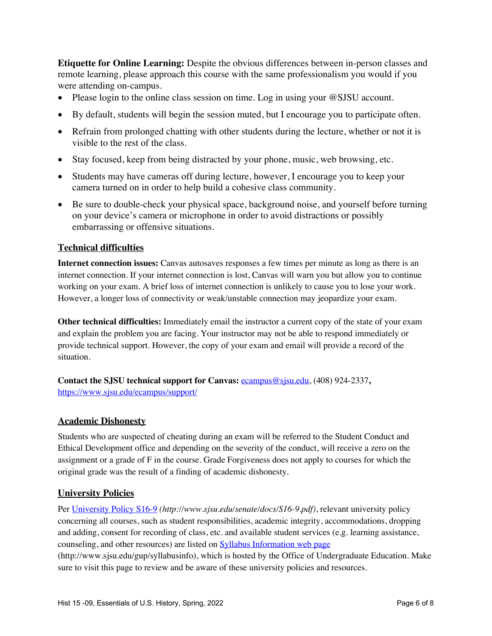**Etiquette for Online Learning:** Despite the obvious differences between in-person classes and remote learning, please approach this course with the same professionalism you would if you were attending on-campus.

- Please login to the online class session on time. Log in using your @SJSU account.
- By default, students will begin the session muted, but I encourage you to participate often.
- Refrain from prolonged chatting with other students during the lecture, whether or not it is visible to the rest of the class.
- Stay focused, keep from being distracted by your phone, music, web browsing, etc.
- Students may have cameras off during lecture, however, I encourage you to keep your camera turned on in order to help build a cohesive class community.
- Be sure to double-check your physical space, background noise, and yourself before turning on your device's camera or microphone in order to avoid distractions or possibly embarrassing or offensive situations.

# **Technical difficulties**

**Internet connection issues:** Canvas autosaves responses a few times per minute as long as there is an internet connection. If your internet connection is lost, Canvas will warn you but allow you to continue working on your exam. A brief loss of internet connection is unlikely to cause you to lose your work. However, a longer loss of connectivity or weak/unstable connection may jeopardize your exam.

**Other technical difficulties:** Immediately email the instructor a current copy of the state of your exam and explain the problem you are facing. Your instructor may not be able to respond immediately or provide technical support. However, the copy of your exam and email will provide a record of the situation.

**Contact the SJSU technical support for Canvas:** ecampus@sjsu.edu, (408) 924-2337**,**  https://www.sjsu.edu/ecampus/support/

# **Academic Dishonesty**

Students who are suspected of cheating during an exam will be referred to the Student Conduct and Ethical Development office and depending on the severity of the conduct, will receive a zero on the assignment or a grade of F in the course. Grade Forgiveness does not apply to courses for which the original grade was the result of a finding of academic dishonesty.

# **University Policies**

Per University Policy S16-9 *(http://www.sjsu.edu/senate/docs/S16-9.pdf)*, relevant university policy concerning all courses, such as student responsibilities, academic integrity, accommodations, dropping and adding, consent for recording of class, etc. and available student services (e.g. learning assistance, counseling, and other resources) are listed on Syllabus Information web page (http://www.sjsu.edu/gup/syllabusinfo), which is hosted by the Office of Undergraduate Education. Make sure to visit this page to review and be aware of these university policies and resources.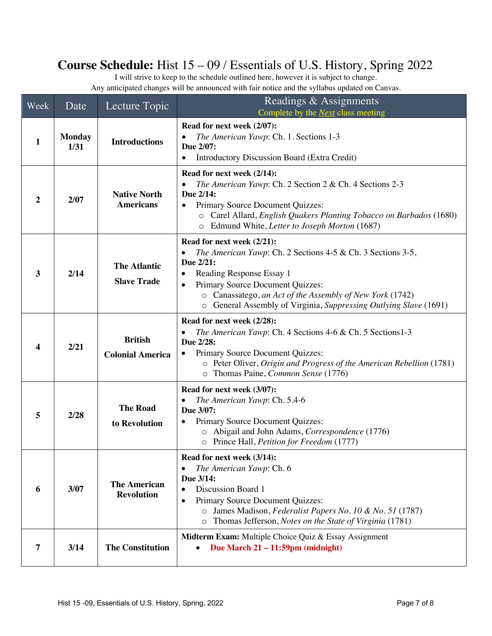# **Course Schedule:** Hist 15 – 09 / Essentials of U.S. History, Spring 2022

I will strive to keep to the schedule outlined here, however it is subject to change. Any anticipated changes will be announced with fair notice and the syllabus updated on Canvas.

| Week         | Date                  | Lecture Topic                             | Readings & Assignments<br>Complete by the <i>Next</i> class meeting                                                                                                                                                                                                                                                       |
|--------------|-----------------------|-------------------------------------------|---------------------------------------------------------------------------------------------------------------------------------------------------------------------------------------------------------------------------------------------------------------------------------------------------------------------------|
| 1            | <b>Monday</b><br>1/31 | <b>Introductions</b>                      | Read for next week (2/07):<br>The American Yawp: Ch. 1. Sections 1-3<br>Due 2/07:<br><b>Introductory Discussion Board (Extra Credit)</b>                                                                                                                                                                                  |
| 2            | 2/07                  | <b>Native North</b><br><b>Americans</b>   | Read for next week (2/14):<br>The American Yawp: Ch. 2 Section 2 & Ch. 4 Sections 2-3<br>Due 2/14:<br>Primary Source Document Quizzes:<br>$\bullet$<br>o Carel Allard, English Quakers Planting Tobacco on Barbados (1680)<br>Edmund White, Letter to Joseph Morton (1687)<br>$\circ$                                     |
| $\mathbf{3}$ | 2/14                  | <b>The Atlantic</b><br><b>Slave Trade</b> | Read for next week (2/21):<br>The American Yawp: Ch. 2 Sections 4-5 & Ch. 3 Sections 3-5,<br>Due 2/21:<br>Reading Response Essay 1<br>٠<br>Primary Source Document Quizzes:<br>$\bullet$<br>o Canassatego, an Act of the Assembly of New York (1742)<br>o General Assembly of Virginia, Suppressing Outlying Slave (1691) |
| 4            | 2/21                  | <b>British</b><br><b>Colonial America</b> | Read for next week (2/28):<br>The American Yawp: Ch. 4 Sections 4-6 & Ch. 5 Sections1-3<br>Due 2/28:<br>Primary Source Document Quizzes:<br>$\bullet$<br>o Peter Oliver, Origin and Progress of the American Rebellion (1781)<br>o Thomas Paine, Common Sense (1776)                                                      |
| 5            | 2/28                  | <b>The Road</b><br>to Revolution          | Read for next week (3/07):<br>The American Yawp: Ch. 5.4-6<br>Due 3/07:<br>Primary Source Document Quizzes:<br>o Abigail and John Adams, Correspondence (1776)<br>o Prince Hall, Petition for Freedom (1777)                                                                                                              |
| 6            | 3/07                  | <b>The American</b><br><b>Revolution</b>  | Read for next week (3/14):<br>The American Yawp: Ch. 6<br>Due 3/14:<br>Discussion Board 1<br>$\bullet$<br>Primary Source Document Quizzes:<br>$\bullet$<br>James Madison, Federalist Papers No. 10 & No. 51 (1787)<br>$\circ$<br>Thomas Jefferson, Notes on the State of Virginia (1781)<br>$\circ$                       |
| 7            | 3/14                  | <b>The Constitution</b>                   | Midterm Exam: Multiple Choice Quiz & Essay Assignment<br>Due March $21 - 11:59$ pm (midnight)                                                                                                                                                                                                                             |